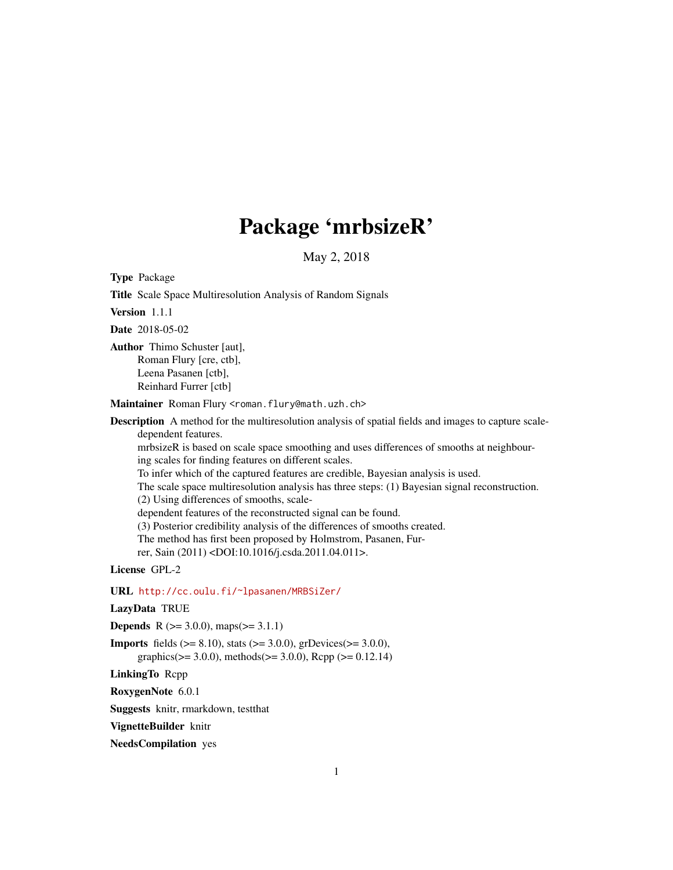# Package 'mrbsizeR'

May 2, 2018

Type Package

Title Scale Space Multiresolution Analysis of Random Signals

Version 1.1.1

Date 2018-05-02

Author Thimo Schuster [aut], Roman Flury [cre, ctb], Leena Pasanen [ctb], Reinhard Furrer [ctb]

Maintainer Roman Flury <roman.flury@math.uzh.ch>

Description A method for the multiresolution analysis of spatial fields and images to capture scaledependent features.

mrbsizeR is based on scale space smoothing and uses differences of smooths at neighbouring scales for finding features on different scales.

To infer which of the captured features are credible, Bayesian analysis is used.

The scale space multiresolution analysis has three steps: (1) Bayesian signal reconstruction.

(2) Using differences of smooths, scale-

dependent features of the reconstructed signal can be found.

(3) Posterior credibility analysis of the differences of smooths created.

The method has first been proposed by Holmstrom, Pasanen, Fur-

rer, Sain (2011) <DOI:10.1016/j.csda.2011.04.011>.

License GPL-2

URL <http://cc.oulu.fi/~lpasanen/MRBSiZer/>

LazyData TRUE

**Depends** R ( $>= 3.0.0$ ), maps( $>= 3.1.1$ )

**Imports** fields ( $>= 8.10$ ), stats ( $>= 3.0.0$ ), grDevices( $>= 3.0.0$ ), graphics( $>= 3.0.0$ ), methods( $>= 3.0.0$ ), Rcpp ( $>= 0.12.14$ )

LinkingTo Rcpp

RoxygenNote 6.0.1

Suggests knitr, rmarkdown, testthat

VignetteBuilder knitr

NeedsCompilation yes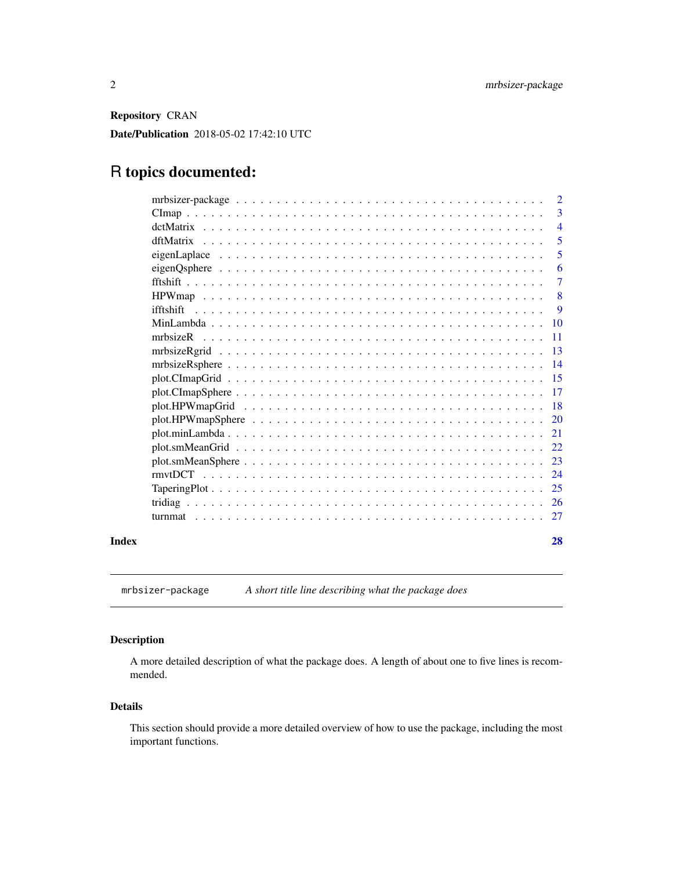<span id="page-1-0"></span>Repository CRAN

Date/Publication 2018-05-02 17:42:10 UTC

## R topics documented:

|       |                                                                                                         | $\overline{2}$  |
|-------|---------------------------------------------------------------------------------------------------------|-----------------|
|       |                                                                                                         | 3               |
|       |                                                                                                         | $\overline{4}$  |
|       | dftMatrix                                                                                               | 5               |
|       |                                                                                                         | 5               |
|       |                                                                                                         | 6               |
|       |                                                                                                         | $\overline{7}$  |
|       |                                                                                                         | 8               |
|       |                                                                                                         | 9               |
|       |                                                                                                         |                 |
|       |                                                                                                         | -11             |
|       |                                                                                                         |                 |
|       |                                                                                                         | $\overline{14}$ |
|       |                                                                                                         |                 |
|       |                                                                                                         |                 |
|       |                                                                                                         |                 |
|       |                                                                                                         |                 |
|       |                                                                                                         |                 |
|       |                                                                                                         |                 |
|       | $plot.smMeanSphere \ldots \ldots \ldots \ldots \ldots \ldots \ldots \ldots \ldots \ldots \ldots \ldots$ | 23              |
|       |                                                                                                         | 24              |
|       |                                                                                                         |                 |
|       |                                                                                                         |                 |
|       |                                                                                                         |                 |
| Index |                                                                                                         | 28              |

mrbsizer-package *A short title line describing what the package does*

#### Description

A more detailed description of what the package does. A length of about one to five lines is recommended.

#### Details

This section should provide a more detailed overview of how to use the package, including the most important functions.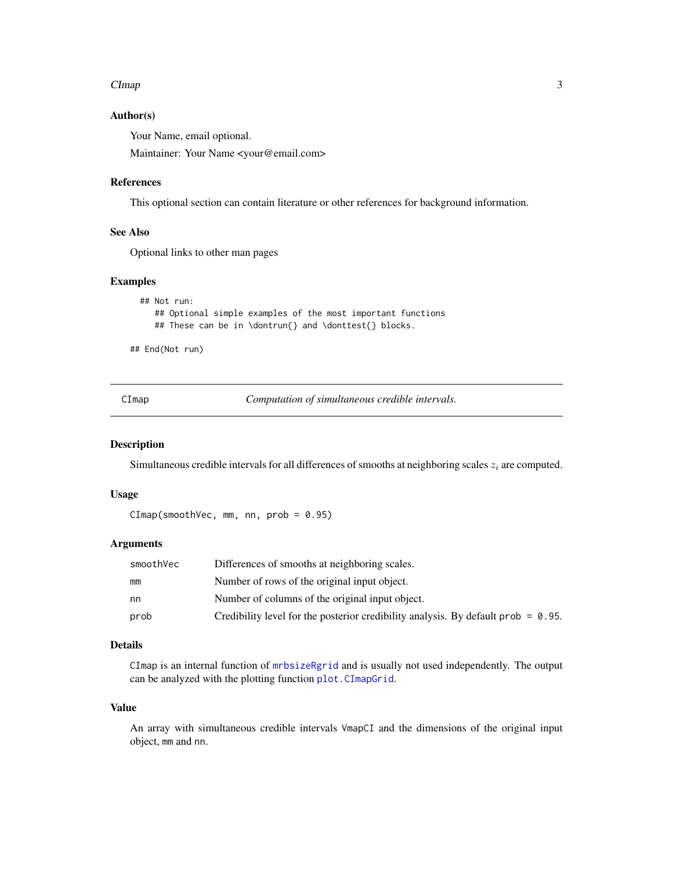#### <span id="page-2-0"></span> $C$ Imap  $3$

#### Author(s)

Your Name, email optional.

Maintainer: Your Name <your@email.com>

#### References

This optional section can contain literature or other references for background information.

#### See Also

Optional links to other man pages

#### Examples

```
## Not run:
   ## Optional simple examples of the most important functions
   ## These can be in \dontrun{} and \donttest{} blocks.
```
## End(Not run)

<span id="page-2-1"></span>CImap *Computation of simultaneous credible intervals.*

#### Description

Simultaneous credible intervals for all differences of smooths at neighboring scales  $z_i$  are computed.

#### Usage

```
CImap(smoothVec, mm, nn, prob = 0.95)
```
#### Arguments

| smoothVec | Differences of smooths at neighboring scales.                                        |
|-----------|--------------------------------------------------------------------------------------|
| mm        | Number of rows of the original input object.                                         |
| nn        | Number of columns of the original input object.                                      |
| prob      | Credibility level for the posterior credibility analysis. By default prob = $0.95$ . |

#### Details

CImap is an internal function of [mrbsizeRgrid](#page-12-1) and is usually not used independently. The output can be analyzed with the plotting function [plot.CImapGrid](#page-14-1).

#### Value

An array with simultaneous credible intervals VmapCI and the dimensions of the original input object, mm and nn.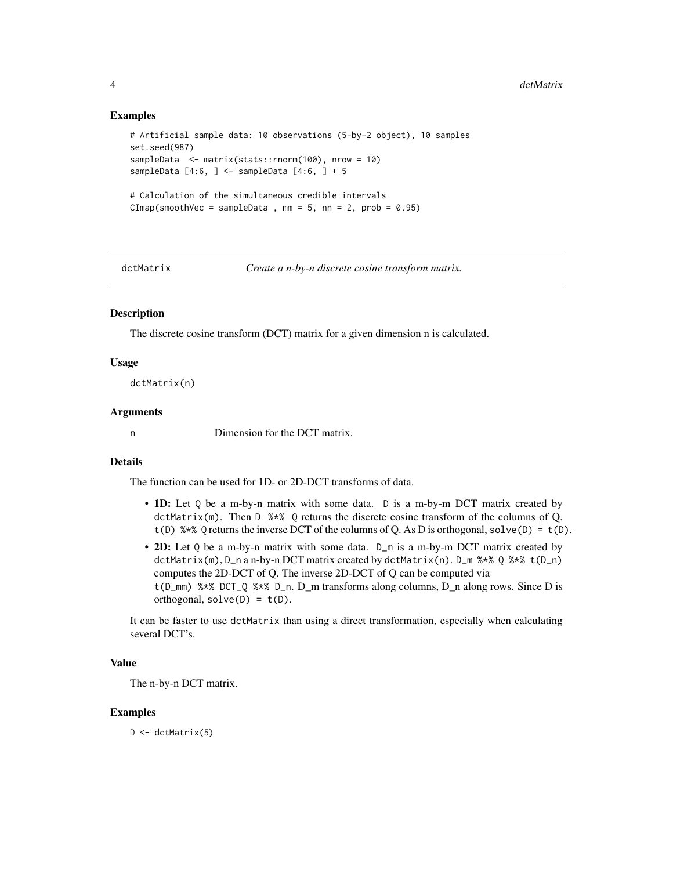#### Examples

```
# Artificial sample data: 10 observations (5-by-2 object), 10 samples
set.seed(987)
sampleData <- matrix(stats::rnorm(100), nrow = 10)
sampleData [4:6, ] \leq - sampleData [4:6, ] + 5# Calculation of the simultaneous credible intervals
CImp(smoothVec = sampleData, mm = 5, nn = 2, prob = 0.95)
```
<span id="page-3-1"></span>

dctMatrix *Create a n-by-n discrete cosine transform matrix.*

#### Description

The discrete cosine transform (DCT) matrix for a given dimension n is calculated.

#### Usage

dctMatrix(n)

#### Arguments

n Dimension for the DCT matrix.

#### Details

The function can be used for 1D- or 2D-DCT transforms of data.

- 1D: Let Q be a m-by-n matrix with some data. D is a m-by-m DCT matrix created by dctMatrix(m). Then D %\*% Q returns the discrete cosine transform of the columns of Q. t(D) %\*% Q returns the inverse DCT of the columns of Q. As D is orthogonal, solve(D) = t(D).
- 2D: Let Q be a m-by-n matrix with some data. D\_m is a m-by-m DCT matrix created by dctMatrix(m), D\_n a n-by-n DCT matrix created by dctMatrix(n). D\_m %\*% Q %\*% t(D\_n) computes the 2D-DCT of Q. The inverse 2D-DCT of Q can be computed via t(D\_mm) %\*% DCT\_Q %\*% D\_n. D\_m transforms along columns, D\_n along rows. Since D is orthogonal,  $solve(D) = t(D)$ .

It can be faster to use dctMatrix than using a direct transformation, especially when calculating several DCT's.

#### Value

The n-by-n DCT matrix.

#### Examples

 $D \leftarrow detMatrix(5)$ 

<span id="page-3-0"></span>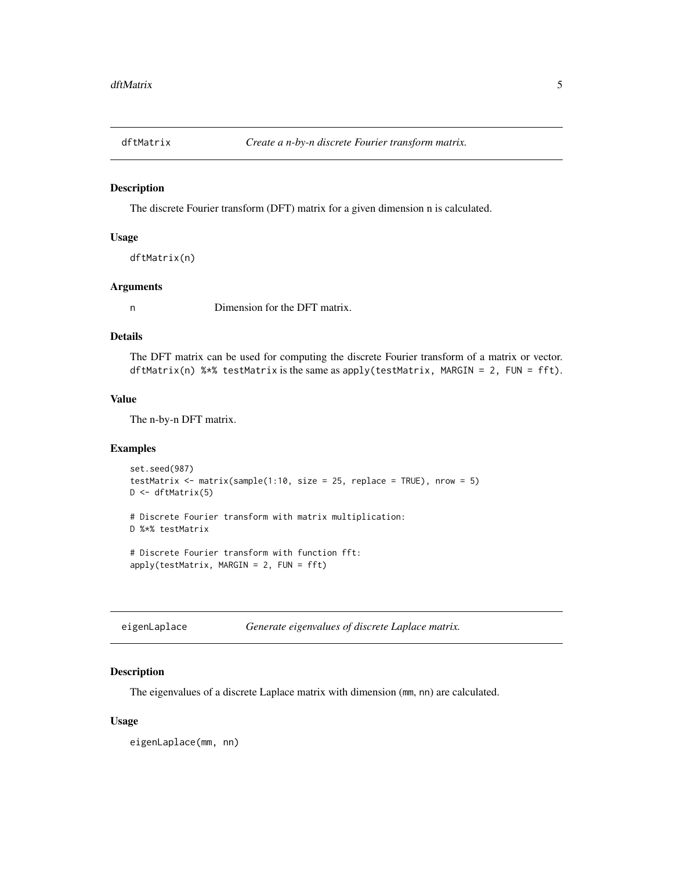<span id="page-4-0"></span>

The discrete Fourier transform (DFT) matrix for a given dimension n is calculated.

#### Usage

```
dftMatrix(n)
```
#### Arguments

n Dimension for the DFT matrix.

#### Details

The DFT matrix can be used for computing the discrete Fourier transform of a matrix or vector. dftMatrix(n) %\*% testMatrix is the same as apply(testMatrix, MARGIN = 2, FUN = fft).

#### Value

The n-by-n DFT matrix.

#### Examples

```
set.seed(987)
testMatrix \le matrix(sample(1:10, size = 25, replace = TRUE), nrow = 5)
D <- dftMatrix(5)
# Discrete Fourier transform with matrix multiplication:
D %*% testMatrix
```

```
# Discrete Fourier transform with function fft:
apply(testMatrix, MARGIN = 2, FUN = fft)
```
<span id="page-4-1"></span>

| eigenLaplace | Generate eigenvalues of discrete Laplace matrix. |  |  |
|--------------|--------------------------------------------------|--|--|
|--------------|--------------------------------------------------|--|--|

#### Description

The eigenvalues of a discrete Laplace matrix with dimension (mm, nn) are calculated.

#### Usage

eigenLaplace(mm, nn)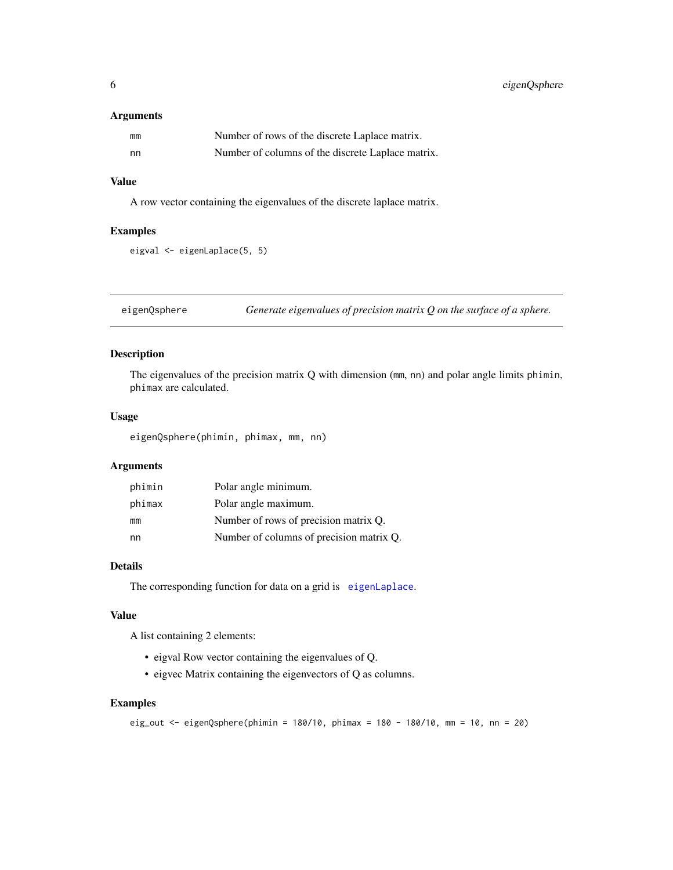#### <span id="page-5-0"></span>Arguments

| mm | Number of rows of the discrete Laplace matrix.    |
|----|---------------------------------------------------|
| nn | Number of columns of the discrete Laplace matrix. |

#### Value

A row vector containing the eigenvalues of the discrete laplace matrix.

#### Examples

```
eigval <- eigenLaplace(5, 5)
```
eigenQsphere *Generate eigenvalues of precision matrix Q on the surface of a sphere.*

#### Description

The eigenvalues of the precision matrix Q with dimension (mm, nn) and polar angle limits phimin, phimax are calculated.

#### Usage

eigenQsphere(phimin, phimax, mm, nn)

## Arguments

| phimin | Polar angle minimum.                     |
|--------|------------------------------------------|
| phimax | Polar angle maximum.                     |
| mm     | Number of rows of precision matrix Q.    |
| nn     | Number of columns of precision matrix Q. |

#### Details

The corresponding function for data on a grid is [eigenLaplace](#page-4-1).

#### Value

A list containing 2 elements:

- eigval Row vector containing the eigenvalues of Q.
- eigvec Matrix containing the eigenvectors of Q as columns.

```
eig_out <- eigenQsphere(phimin = 180/10, phimax = 180 - 180/10, mm = 10, nn = 20)
```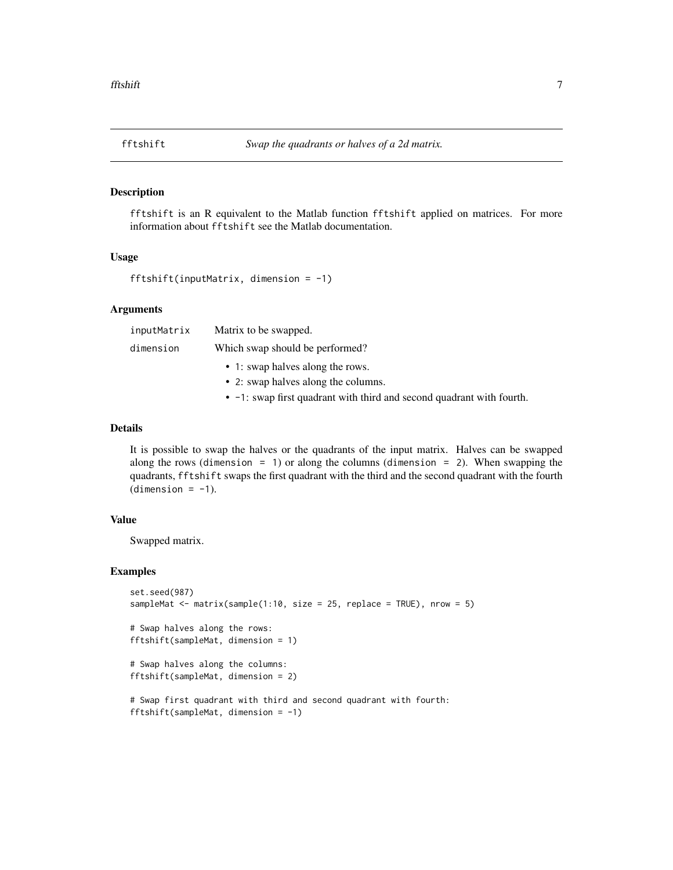<span id="page-6-1"></span><span id="page-6-0"></span>

fftshift is an R equivalent to the Matlab function fftshift applied on matrices. For more information about fftshift see the Matlab documentation.

#### Usage

```
fftshift(inputMatrix, dimension = -1)
```
#### Arguments

| inputMatrix | Matrix to be swapped.               |
|-------------|-------------------------------------|
| dimension   | Which swap should be performed?     |
|             | • 1: swap halves along the rows.    |
|             | • 2: swap halves along the columns. |

• -1: swap first quadrant with third and second quadrant with fourth.

#### Details

It is possible to swap the halves or the quadrants of the input matrix. Halves can be swapped along the rows (dimension  $= 1$ ) or along the columns (dimension  $= 2$ ). When swapping the quadrants, fftshift swaps the first quadrant with the third and the second quadrant with the fourth  $(dimension = -1)$ .

#### Value

Swapped matrix.

```
set.seed(987)
sampleMat <- matrix(sample(1:10, size = 25, replace = TRUE), nrow = 5)
# Swap halves along the rows:
fftshift(sampleMat, dimension = 1)
# Swap halves along the columns:
fftshift(sampleMat, dimension = 2)
# Swap first quadrant with third and second quadrant with fourth:
fftshift(sampleMat, dimension = -1)
```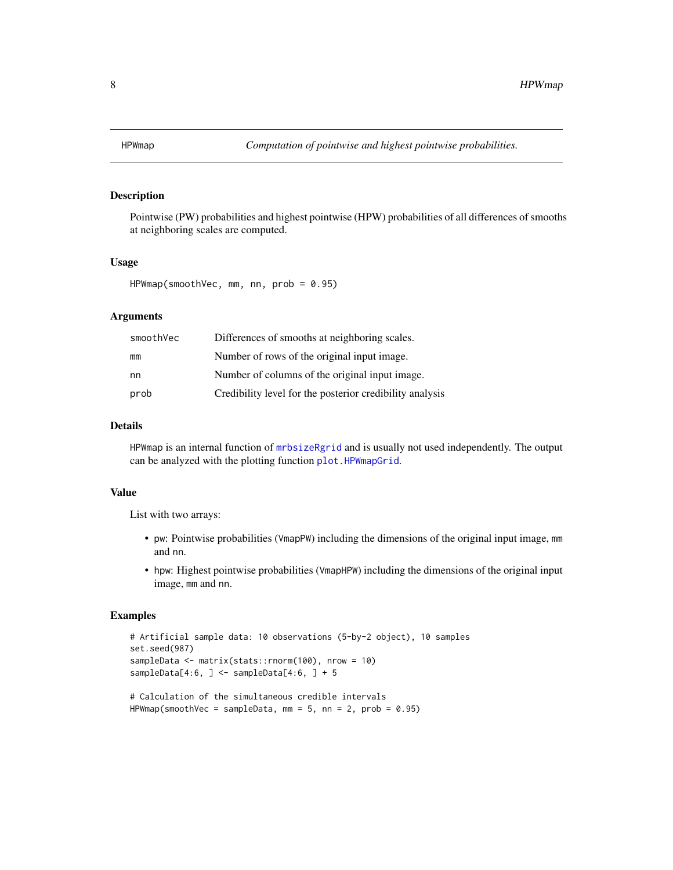<span id="page-7-1"></span><span id="page-7-0"></span>

Pointwise (PW) probabilities and highest pointwise (HPW) probabilities of all differences of smooths at neighboring scales are computed.

#### Usage

```
HPWmap(smoothVec, mm, nn, prob = 0.95)
```
#### Arguments

| smoothVec | Differences of smooths at neighboring scales.            |
|-----------|----------------------------------------------------------|
| mm        | Number of rows of the original input image.              |
| nn.       | Number of columns of the original input image.           |
| prob      | Credibility level for the posterior credibility analysis |

#### Details

HPWmap is an internal function of [mrbsizeRgrid](#page-12-1) and is usually not used independently. The output can be analyzed with the plotting function [plot.HPWmapGrid](#page-17-1).

#### Value

List with two arrays:

- pw: Pointwise probabilities (VmapPW) including the dimensions of the original input image, mm and nn.
- hpw: Highest pointwise probabilities (VmapHPW) including the dimensions of the original input image, mm and nn.

```
# Artificial sample data: 10 observations (5-by-2 object), 10 samples
set.seed(987)
sampleData <- matrix(stats::rnorm(100), nrow = 10)
sampleData[4:6, \} <- sampleData[4:6, \} + 5
# Calculation of the simultaneous credible intervals
```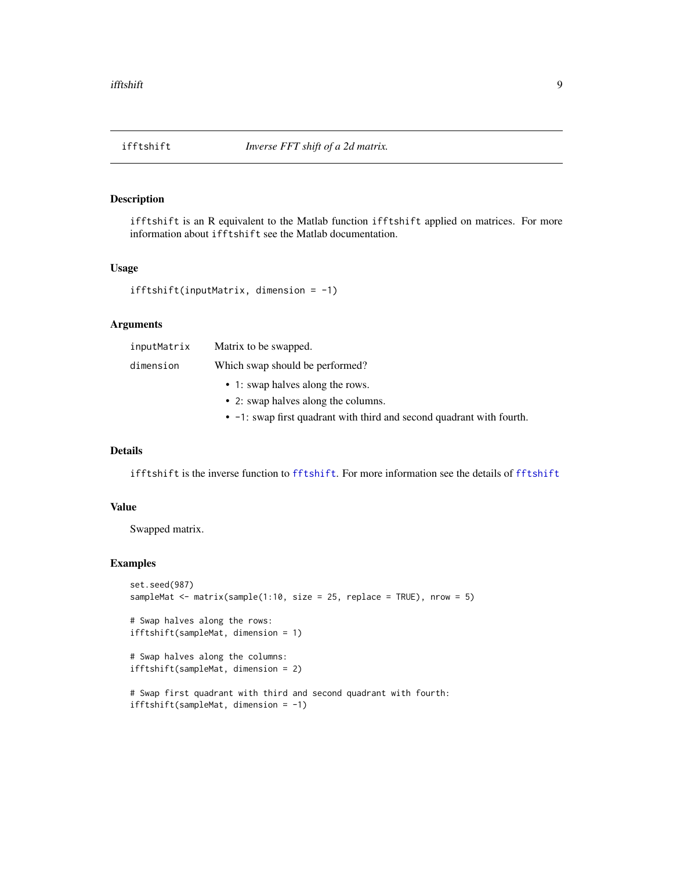<span id="page-8-0"></span>

ifftshift is an R equivalent to the Matlab function ifftshift applied on matrices. For more information about ifftshift see the Matlab documentation.

#### Usage

```
ifftshift(inputMatrix, dimension = -1)
```
#### Arguments

| inputMatrix | Matrix to be swapped.                        |  |
|-------------|----------------------------------------------|--|
| dimension   | Which swap should be performed?              |  |
|             | • 1: swap halves along the rows.             |  |
|             | • 2: swap halves along the columns.          |  |
|             | $\alpha$ and $\alpha$ is the set of $\alpha$ |  |

• -1: swap first quadrant with third and second quadrant with fourth.

#### Details

ifftshift is the inverse function to [fftshift](#page-6-1). For more information see the details of [fftshift](#page-6-1)

#### Value

Swapped matrix.

```
set.seed(987)
sampleMat \leq matrix(sample(1:10, size = 25, replace = TRUE), nrow = 5)
# Swap halves along the rows:
ifftshift(sampleMat, dimension = 1)
# Swap halves along the columns:
ifftshift(sampleMat, dimension = 2)
# Swap first quadrant with third and second quadrant with fourth:
ifftshift(sampleMat, dimension = -1)
```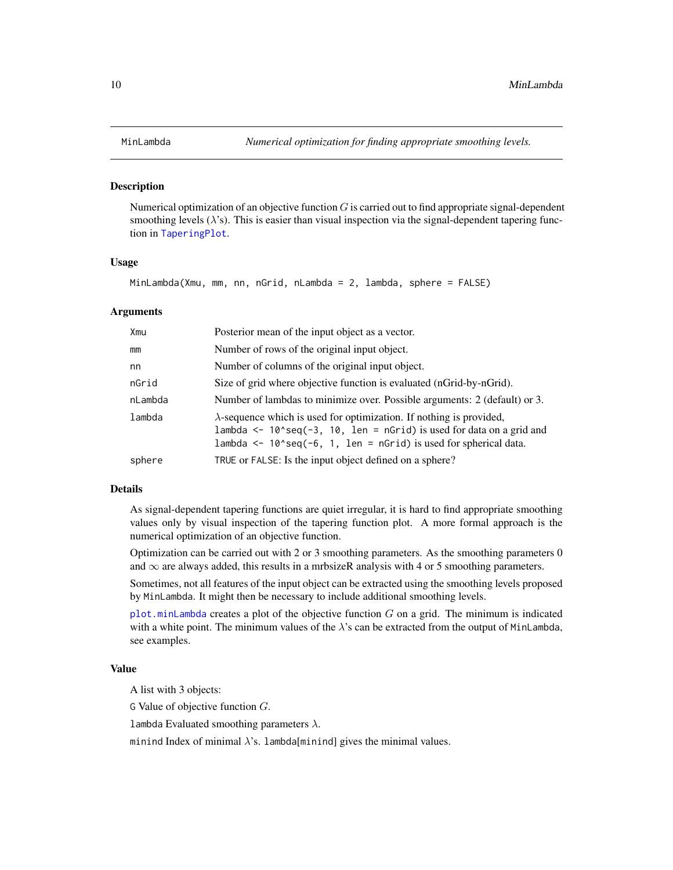<span id="page-9-1"></span><span id="page-9-0"></span>

Numerical optimization of an objective function  $G$  is carried out to find appropriate signal-dependent smoothing levels  $(\lambda)$ 's). This is easier than visual inspection via the signal-dependent tapering function in [TaperingPlot](#page-24-1).

#### Usage

MinLambda(Xmu, mm, nn, nGrid, nLambda = 2, lambda, sphere = FALSE)

#### Arguments

| Xmu     | Posterior mean of the input object as a vector.                                                                                                                                                                                |
|---------|--------------------------------------------------------------------------------------------------------------------------------------------------------------------------------------------------------------------------------|
| mm      | Number of rows of the original input object.                                                                                                                                                                                   |
| nn      | Number of columns of the original input object.                                                                                                                                                                                |
| nGrid   | Size of grid where objective function is evaluated (nGrid-by-nGrid).                                                                                                                                                           |
| nLambda | Number of lambdas to minimize over. Possible arguments: 2 (default) or 3.                                                                                                                                                      |
| lambda  | $\lambda$ -sequence which is used for optimization. If nothing is provided,<br>lambda <- $10$ seq(-3, $10$ , len = nGrid) is used for data on a grid and<br>lambda <- $10$ seq(-6, 1, len = nGrid) is used for spherical data. |
| sphere  | TRUE or FALSE: Is the input object defined on a sphere?                                                                                                                                                                        |

#### Details

As signal-dependent tapering functions are quiet irregular, it is hard to find appropriate smoothing values only by visual inspection of the tapering function plot. A more formal approach is the numerical optimization of an objective function.

Optimization can be carried out with 2 or 3 smoothing parameters. As the smoothing parameters 0 and  $\infty$  are always added, this results in a mrbsizeR analysis with 4 or 5 smoothing parameters.

Sometimes, not all features of the input object can be extracted using the smoothing levels proposed by MinLambda. It might then be necessary to include additional smoothing levels.

[plot.minLambda](#page-20-1) creates a plot of the objective function  $G$  on a grid. The minimum is indicated with a white point. The minimum values of the  $\lambda$ 's can be extracted from the output of MinLambda, see examples.

#### Value

A list with 3 objects:

G Value of objective function  $G$ .

lambda Evaluated smoothing parameters  $\lambda$ .

minind Index of minimal  $\lambda$ 's. lambda[minind] gives the minimal values.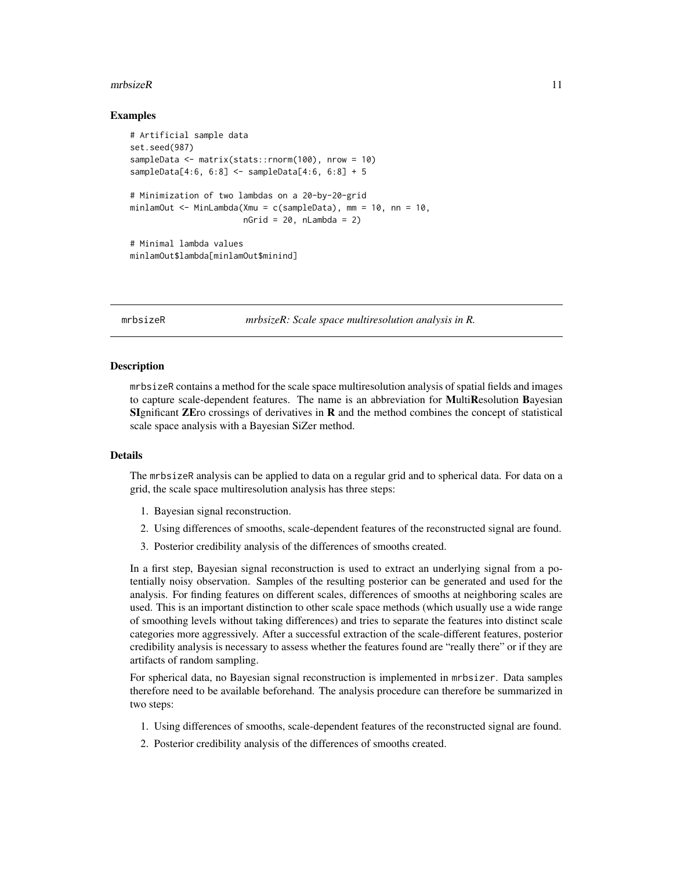#### <span id="page-10-0"></span> $m$ rbsizeR 11

#### Examples

```
# Artificial sample data
set.seed(987)
sampleData <- matrix(stats::rnorm(100), nrow = 10)
sampleData[4:6, 6:8] <- sampleData[4:6, 6:8] + 5
# Minimization of two lambdas on a 20-by-20-grid
minlamOut <- MinLambda(Xmu = c(sampleData), mm = 10, nn = 10,
                       nGrid = 20, nLambda = 2)# Minimal lambda values
minlamOut$lambda[minlamOut$minind]
```
mrbsizeR *mrbsizeR: Scale space multiresolution analysis in R.* 

#### Description

mrbsizeR contains a method for the scale space multiresolution analysis of spatial fields and images to capture scale-dependent features. The name is an abbreviation for MultiResolution Bayesian SIgnificant  $\overline{Z}$  Ero crossings of derivatives in  $\bf{R}$  and the method combines the concept of statistical scale space analysis with a Bayesian SiZer method.

#### Details

The mrbsizeR analysis can be applied to data on a regular grid and to spherical data. For data on a grid, the scale space multiresolution analysis has three steps:

- 1. Bayesian signal reconstruction.
- 2. Using differences of smooths, scale-dependent features of the reconstructed signal are found.
- 3. Posterior credibility analysis of the differences of smooths created.

In a first step, Bayesian signal reconstruction is used to extract an underlying signal from a potentially noisy observation. Samples of the resulting posterior can be generated and used for the analysis. For finding features on different scales, differences of smooths at neighboring scales are used. This is an important distinction to other scale space methods (which usually use a wide range of smoothing levels without taking differences) and tries to separate the features into distinct scale categories more aggressively. After a successful extraction of the scale-different features, posterior credibility analysis is necessary to assess whether the features found are "really there" or if they are artifacts of random sampling.

For spherical data, no Bayesian signal reconstruction is implemented in mrbsizer. Data samples therefore need to be available beforehand. The analysis procedure can therefore be summarized in two steps:

- 1. Using differences of smooths, scale-dependent features of the reconstructed signal are found.
- 2. Posterior credibility analysis of the differences of smooths created.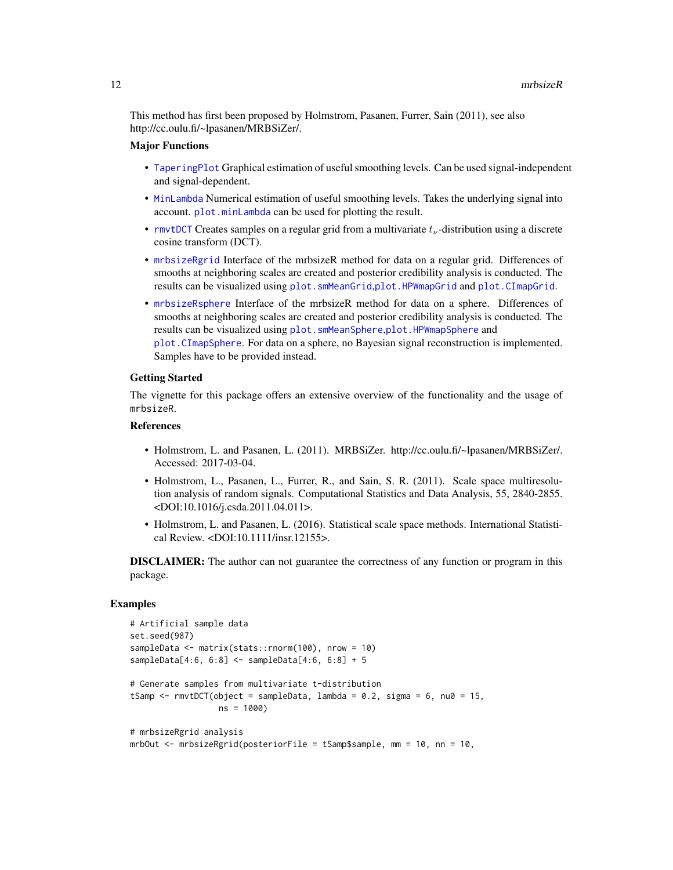<span id="page-11-0"></span>This method has first been proposed by Holmstrom, Pasanen, Furrer, Sain (2011), see also http://cc.oulu.fi/~lpasanen/MRBSiZer/.

#### Major Functions

- [TaperingPlot](#page-24-1) Graphical estimation of useful smoothing levels. Can be used signal-independent and signal-dependent.
- [MinLambda](#page-9-1) Numerical estimation of useful smoothing levels. Takes the underlying signal into account. [plot.minLambda](#page-20-1) can be used for plotting the result.
- [rmvtDCT](#page-23-1) Creates samples on a regular grid from a multivariate  $t_{\nu}$ -distribution using a discrete cosine transform (DCT).
- [mrbsizeRgrid](#page-12-1) Interface of the mrbsizeR method for data on a regular grid. Differences of smooths at neighboring scales are created and posterior credibility analysis is conducted. The results can be visualized using [plot.smMeanGrid](#page-21-1),[plot.HPWmapGrid](#page-17-1) and [plot.CImapGrid](#page-14-1).
- [mrbsizeRsphere](#page-13-1) Interface of the mrbsizeR method for data on a sphere. Differences of smooths at neighboring scales are created and posterior credibility analysis is conducted. The results can be visualized using plot. smMeanSphere, plot. HPWmapSphere and [plot.CImapSphere](#page-16-1). For data on a sphere, no Bayesian signal reconstruction is implemented. Samples have to be provided instead.

#### Getting Started

The vignette for this package offers an extensive overview of the functionality and the usage of mrbsizeR.

#### References

- Holmstrom, L. and Pasanen, L. (2011). MRBSiZer. http://cc.oulu.fi/~lpasanen/MRBSiZer/. Accessed: 2017-03-04.
- Holmstrom, L., Pasanen, L., Furrer, R., and Sain, S. R. (2011). Scale space multiresolution analysis of random signals. Computational Statistics and Data Analysis, 55, 2840-2855. <DOI:10.1016/j.csda.2011.04.011>.
- Holmstrom, L. and Pasanen, L. (2016). Statistical scale space methods. International Statistical Review. <DOI:10.1111/insr.12155>.

**DISCLAIMER:** The author can not guarantee the correctness of any function or program in this package.

```
# Artificial sample data
set.seed(987)
sampleData <- matrix(stats::rnorm(100), nrow = 10)
sampleData[4:6, 6:8] <- sampleData[4:6, 6:8] + 5
# Generate samples from multivariate t-distribution
tSamp \le - rmvtDCT(object = sampleData, lambda = 0.2, sigma = 6, nu0 = 15,
                  ns = 1000)
# mrbsizeRgrid analysis
mrbOut <- mrbsizeRgrid(posteriorFile = tSamp$sample, mm = 10, nn = 10,
```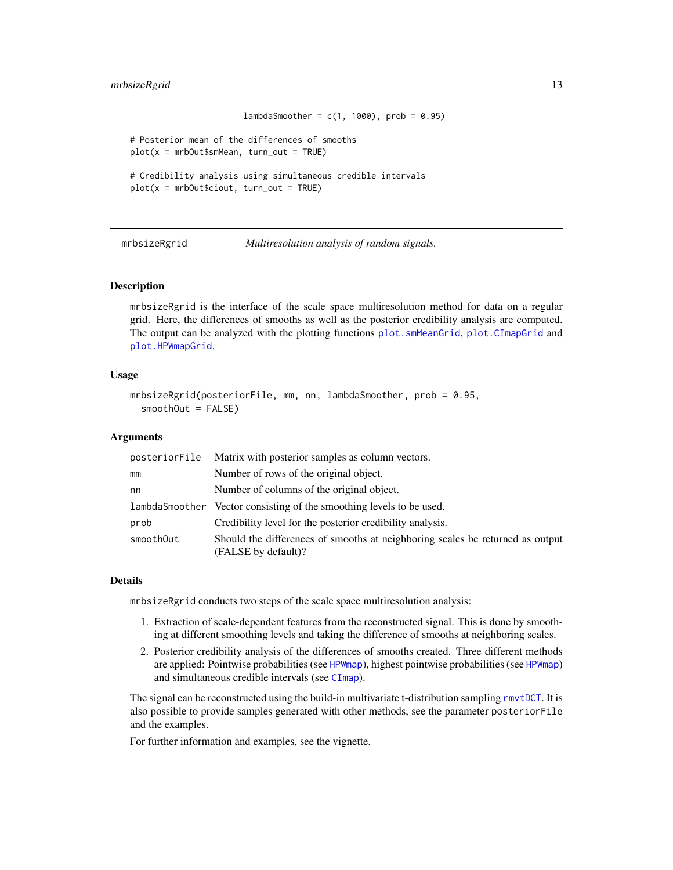#### <span id="page-12-0"></span>mrbsizeRgrid 13

```
lambdaSmoother = c(1, 1000), prob = 0.95)
# Posterior mean of the differences of smooths
plot(x = mrbOut$smMean, turn.out = TRUE)# Credibility analysis using simultaneous credible intervals
plot(x = mrDout\, turn\_out = TRUE)
```
<span id="page-12-1"></span>mrbsizeRgrid *Multiresolution analysis of random signals.*

#### Description

mrbsizeRgrid is the interface of the scale space multiresolution method for data on a regular grid. Here, the differences of smooths as well as the posterior credibility analysis are computed. The output can be analyzed with the plotting functions [plot.smMeanGrid](#page-21-1), [plot.CImapGrid](#page-14-1) and [plot.HPWmapGrid](#page-17-1).

#### Usage

```
mrbsizeRgrid(posteriorFile, mm, nn, lambdaSmoother, prob = 0.95,
  smoothOut = FALSE)
```
#### Arguments

| posteriorFile | Matrix with posterior samples as column vectors.                                                     |
|---------------|------------------------------------------------------------------------------------------------------|
| mm            | Number of rows of the original object.                                                               |
| nn            | Number of columns of the original object.                                                            |
|               | lambdaSmoother Vector consisting of the smoothing levels to be used.                                 |
| prob          | Credibility level for the posterior credibility analysis.                                            |
| smoothOut     | Should the differences of smooths at neighboring scales be returned as output<br>(FALSE by default)? |

#### Details

mrbsizeRgrid conducts two steps of the scale space multiresolution analysis:

- 1. Extraction of scale-dependent features from the reconstructed signal. This is done by smoothing at different smoothing levels and taking the difference of smooths at neighboring scales.
- 2. Posterior credibility analysis of the differences of smooths created. Three different methods are applied: Pointwise probabilities (see [HPWmap](#page-7-1)), highest pointwise probabilities (see HPWmap) and simultaneous credible intervals (see [CImap](#page-2-1)).

The signal can be reconstructed using the build-in multivariate t-distribution sampling [rmvtDCT](#page-23-1). It is also possible to provide samples generated with other methods, see the parameter posteriorFile and the examples.

For further information and examples, see the vignette.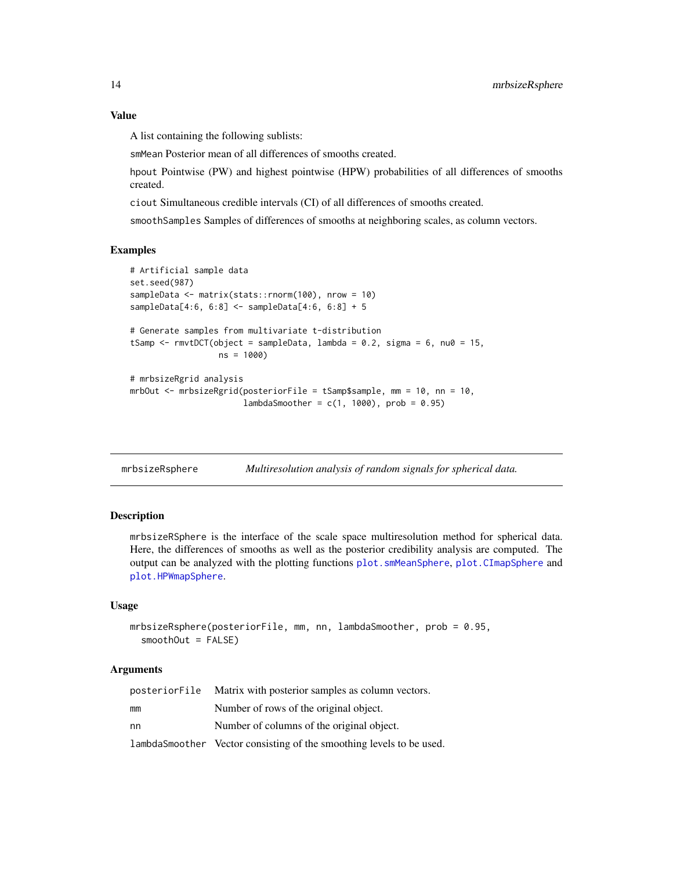A list containing the following sublists:

smMean Posterior mean of all differences of smooths created.

hpout Pointwise (PW) and highest pointwise (HPW) probabilities of all differences of smooths created.

ciout Simultaneous credible intervals (CI) of all differences of smooths created.

smoothSamples Samples of differences of smooths at neighboring scales, as column vectors.

#### Examples

```
# Artificial sample data
set.seed(987)
sampleData <- matrix(stats::rnorm(100), nrow = 10)
sampleData[4:6, 6:8] <- sampleData[4:6, 6:8] + 5
# Generate samples from multivariate t-distribution
tSamp <- rmvtDCT(object = sampleData, lambda = 0.2, sigma = 6, nu0 = 15,
                 ns = 1000)
# mrbsizeRgrid analysis
mrbOut <- mrbsizeRgrid(posteriorFile = tSamp$sample, mm = 10, nn = 10,
                       lambdaSmoother = c(1, 1000), prob = 0.95
```
<span id="page-13-1"></span>mrbsizeRsphere *Multiresolution analysis of random signals for spherical data.*

#### **Description**

mrbsizeRSphere is the interface of the scale space multiresolution method for spherical data. Here, the differences of smooths as well as the posterior credibility analysis are computed. The output can be analyzed with the plotting functions [plot.smMeanSphere](#page-22-1), [plot.CImapSphere](#page-16-1) and [plot.HPWmapSphere](#page-19-1).

#### Usage

```
mrbsizeRsphere(posteriorFile, mm, nn, lambdaSmoother, prob = 0.95,
  smoothOut = FALSE)
```
#### Arguments

| posteriorFile | Matrix with posterior samples as column vectors.                     |
|---------------|----------------------------------------------------------------------|
| mm            | Number of rows of the original object.                               |
| nn            | Number of columns of the original object.                            |
|               | lambdaSmoother Vector consisting of the smoothing levels to be used. |

<span id="page-13-0"></span>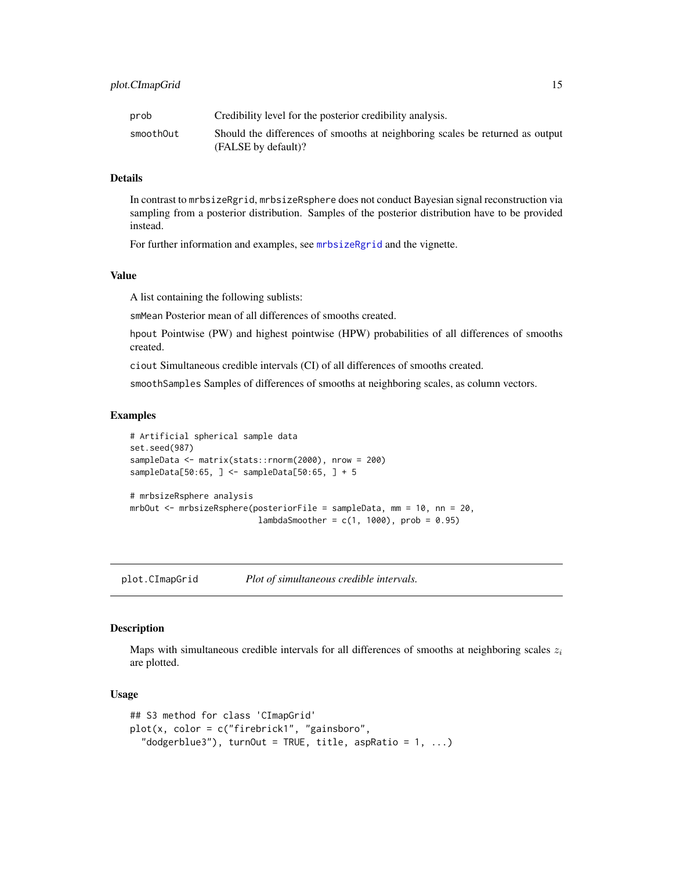<span id="page-14-0"></span>

| prob      | Credibility level for the posterior credibility analysis.                                            |
|-----------|------------------------------------------------------------------------------------------------------|
| smoothOut | Should the differences of smooths at neighboring scales be returned as output<br>(FALSE by default)? |

#### Details

In contrast to mrbsizeRgrid, mrbsizeRsphere does not conduct Bayesian signal reconstruction via sampling from a posterior distribution. Samples of the posterior distribution have to be provided instead.

For further information and examples, see [mrbsizeRgrid](#page-12-1) and the vignette.

#### Value

A list containing the following sublists:

smMean Posterior mean of all differences of smooths created.

hpout Pointwise (PW) and highest pointwise (HPW) probabilities of all differences of smooths created.

ciout Simultaneous credible intervals (CI) of all differences of smooths created.

smoothSamples Samples of differences of smooths at neighboring scales, as column vectors.

#### Examples

```
# Artificial spherical sample data
set.seed(987)
sampleData <- matrix(stats::rnorm(2000), nrow = 200)
sampleData[50:65, ] <- sampleData[50:65, ] + 5
# mrbsizeRsphere analysis
mrbOut <- mrbsizeRsphere(posteriorFile = sampleData, mm = 10, nn = 20,
                          lambdaSmoother = c(1, 1000), prob = 0.95)
```
<span id="page-14-1"></span>plot.CImapGrid *Plot of simultaneous credible intervals.*

#### Description

Maps with simultaneous credible intervals for all differences of smooths at neighboring scales  $z_i$ are plotted.

#### Usage

```
## S3 method for class 'CImapGrid'
plot(x, color = c("firebrick1", "gainsboro",
  "dodgerblue3"), turnOut = TRUE, title, aspRatio = 1, ...)
```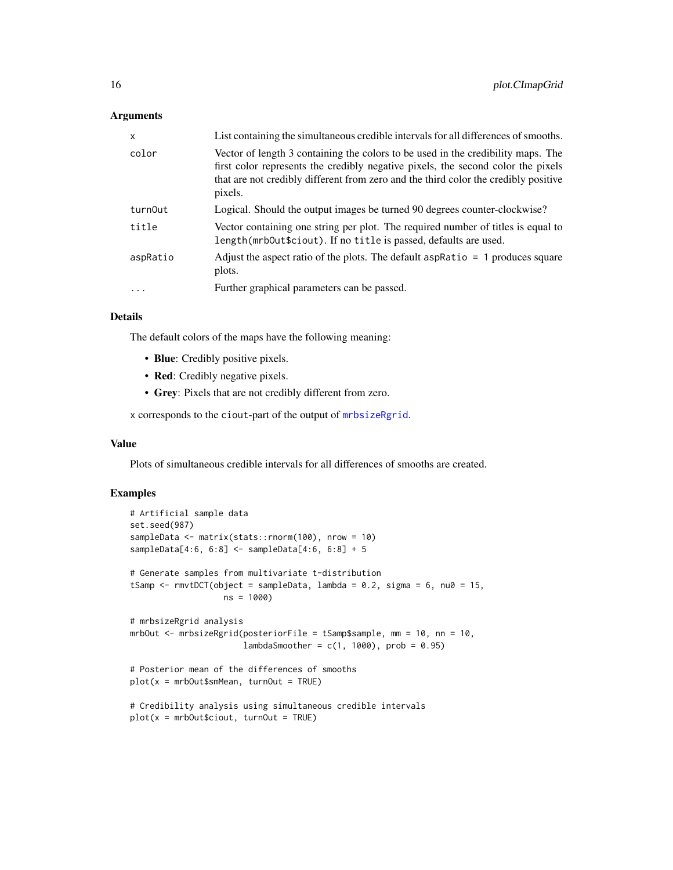#### <span id="page-15-0"></span>**Arguments**

| $\mathsf{x}$ | List containing the simultaneous credible intervals for all differences of smooths.                                                                                                                                                                                    |  |  |
|--------------|------------------------------------------------------------------------------------------------------------------------------------------------------------------------------------------------------------------------------------------------------------------------|--|--|
| color        | Vector of length 3 containing the colors to be used in the credibility maps. The<br>first color represents the credibly negative pixels, the second color the pixels<br>that are not credibly different from zero and the third color the credibly positive<br>pixels. |  |  |
| turn0ut      | Logical. Should the output images be turned 90 degrees counter-clockwise?                                                                                                                                                                                              |  |  |
| title        | Vector containing one string per plot. The required number of titles is equal to<br>length(mrb0ut\$ciout). If no title is passed, defaults are used.                                                                                                                   |  |  |
| aspRatio     | Adjust the aspect ratio of the plots. The default aspRatio $= 1$ produces square<br>plots.                                                                                                                                                                             |  |  |
|              | Further graphical parameters can be passed.                                                                                                                                                                                                                            |  |  |
|              |                                                                                                                                                                                                                                                                        |  |  |

#### Details

The default colors of the maps have the following meaning:

- Blue: Credibly positive pixels.
- Red: Credibly negative pixels.
- Grey: Pixels that are not credibly different from zero.

x corresponds to the ciout-part of the output of [mrbsizeRgrid](#page-12-1).

#### Value

Plots of simultaneous credible intervals for all differences of smooths are created.

```
# Artificial sample data
set.seed(987)
sampleData <- matrix(stats::rnorm(100), nrow = 10)
sampleData[4:6, 6:8] <- sampleData[4:6, 6:8] + 5
# Generate samples from multivariate t-distribution
tSamp \le - rmvtDCT(object = sampleData, lambda = 0.2, sigma = 6, nu0 = 15,
                  ns = 1000)
# mrbsizeRgrid analysis
mrbOut <- mrbsizeRgrid(posteriorFile = tSamp$sample, mm = 10, nn = 10,
                      lambdaSmoother = c(1, 1000), prob = 0.95)
# Posterior mean of the differences of smooths
plot(x = mrbOut$smMean, turnOut = TRUE)
# Credibility analysis using simultaneous credible intervals
plot(x = mrDout\, turnOut = TRUE)
```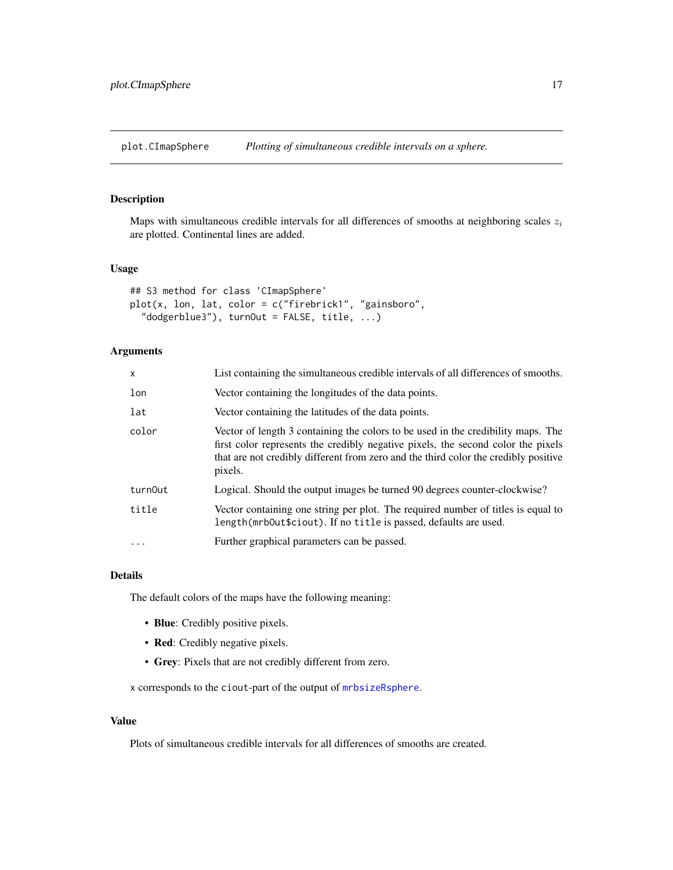<span id="page-16-1"></span><span id="page-16-0"></span>plot.CImapSphere *Plotting of simultaneous credible intervals on a sphere.*

### Description

Maps with simultaneous credible intervals for all differences of smooths at neighboring scales  $z_i$ are plotted. Continental lines are added.

#### Usage

```
## S3 method for class 'CImapSphere'
plot(x, lon, lat, color = c("firebrick1", "gainsboro",
  "dodgerblue3"), turnOut = FALSE, title, ...)
```
#### Arguments

| $\times$          | List containing the simultaneous credible intervals of all differences of smooths.                                                                                                                                                                                     |  |  |
|-------------------|------------------------------------------------------------------------------------------------------------------------------------------------------------------------------------------------------------------------------------------------------------------------|--|--|
| lon               | Vector containing the longitudes of the data points.                                                                                                                                                                                                                   |  |  |
| lat               | Vector containing the latitudes of the data points.                                                                                                                                                                                                                    |  |  |
| color             | Vector of length 3 containing the colors to be used in the credibility maps. The<br>first color represents the credibly negative pixels, the second color the pixels<br>that are not credibly different from zero and the third color the credibly positive<br>pixels. |  |  |
| turnOut           | Logical. Should the output images be turned 90 degrees counter-clockwise?                                                                                                                                                                                              |  |  |
| title             | Vector containing one string per plot. The required number of titles is equal to<br>length(mrb0ut\$ciout). If no title is passed, defaults are used.                                                                                                                   |  |  |
| $\cdot\cdot\cdot$ | Further graphical parameters can be passed.                                                                                                                                                                                                                            |  |  |

#### Details

The default colors of the maps have the following meaning:

- Blue: Credibly positive pixels.
- Red: Credibly negative pixels.
- Grey: Pixels that are not credibly different from zero.

x corresponds to the ciout-part of the output of [mrbsizeRsphere](#page-13-1).

#### Value

Plots of simultaneous credible intervals for all differences of smooths are created.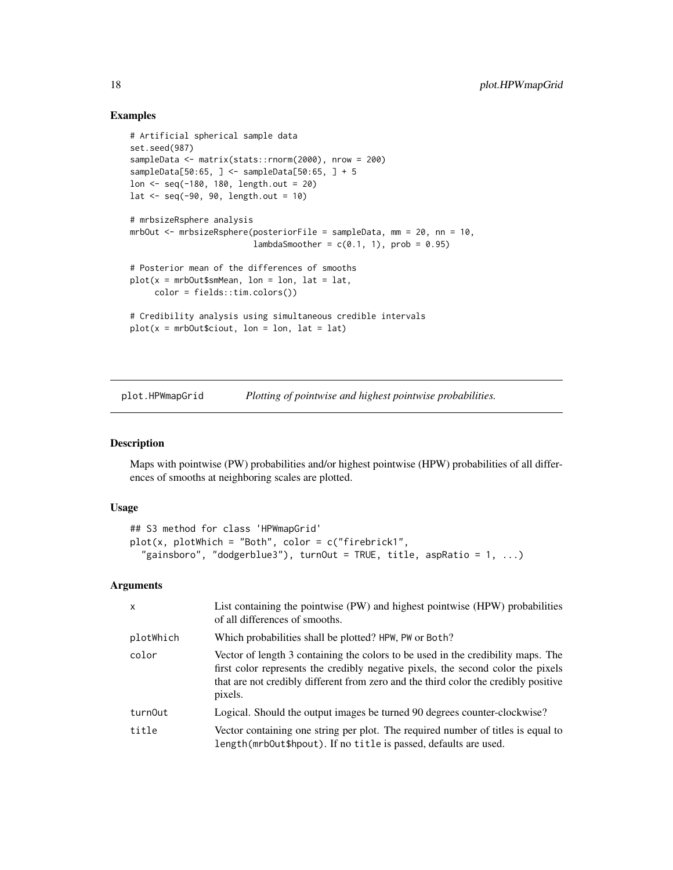#### Examples

```
# Artificial spherical sample data
set.seed(987)
sampleData <- matrix(stats::rnorm(2000), nrow = 200)
sampleData[50:65, ] <- sampleData[50:65, ] + 5
lon <- seq(-180, 180, length.out = 20)
lat < -seq(-90, 90, length.out = 10)# mrbsizeRsphere analysis
mrbOut <- mrbsizeRsphere(posteriorFile = sampleData, mm = 20, nn = 10,
                        lambdaSmoother = c(0.1, 1), prob = 0.95# Posterior mean of the differences of smooths
plot(x = mrbOut$smMean, lon = lon, lat = lat,color = fields::tim.colors())
# Credibility analysis using simultaneous credible intervals
plot(x = mrDout$cicut, lon = lon, lat = lat)
```
<span id="page-17-1"></span>plot.HPWmapGrid *Plotting of pointwise and highest pointwise probabilities.*

#### Description

Maps with pointwise (PW) probabilities and/or highest pointwise (HPW) probabilities of all differences of smooths at neighboring scales are plotted.

#### Usage

```
## S3 method for class 'HPWmapGrid'
plot(x, plotWhich = "Both", color = c("firebrick1","gainsboro", "dodgerblue3"), turnOut = TRUE, title, aspRatio = 1, ...)
```
#### Arguments

| $\mathsf{x}$ | List containing the pointwise (PW) and highest pointwise (HPW) probabilities<br>of all differences of smooths.                                                                                                                                                         |  |  |
|--------------|------------------------------------------------------------------------------------------------------------------------------------------------------------------------------------------------------------------------------------------------------------------------|--|--|
| plotWhich    | Which probabilities shall be plotted? HPW, PW or Both?                                                                                                                                                                                                                 |  |  |
| color        | Vector of length 3 containing the colors to be used in the credibility maps. The<br>first color represents the credibly negative pixels, the second color the pixels<br>that are not credibly different from zero and the third color the credibly positive<br>pixels. |  |  |
| turn0ut      | Logical. Should the output images be turned 90 degrees counter-clockwise?                                                                                                                                                                                              |  |  |
| title        | Vector containing one string per plot. The required number of titles is equal to<br>length(mrbOut\$hpout). If no title is passed, defaults are used.                                                                                                                   |  |  |

<span id="page-17-0"></span>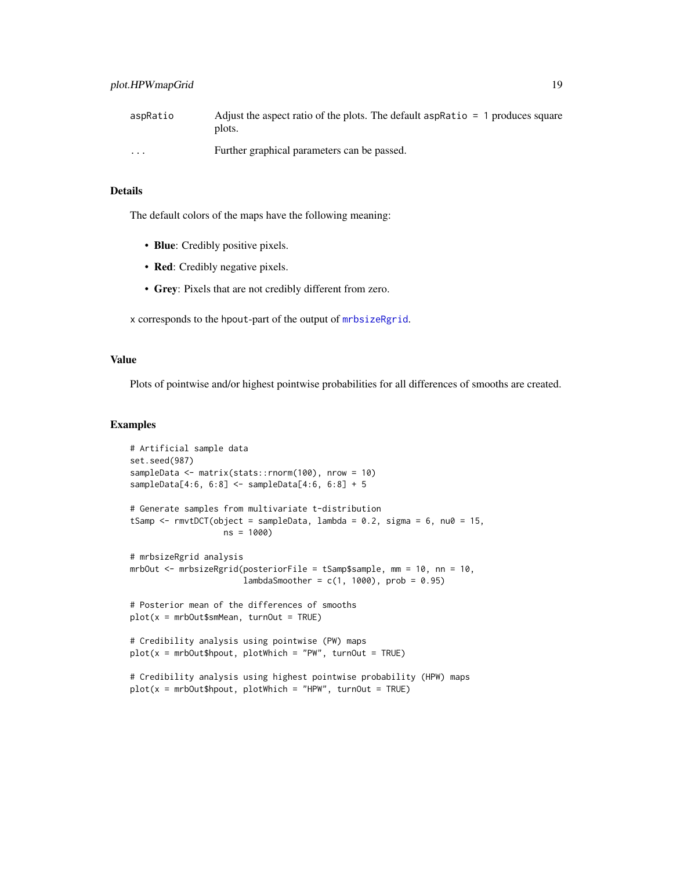<span id="page-18-0"></span>

| aspRatio          | Adjust the aspect ratio of the plots. The default aspRatio $= 1$ produces square<br>plots. |
|-------------------|--------------------------------------------------------------------------------------------|
| $\cdot\cdot\cdot$ | Further graphical parameters can be passed.                                                |

#### Details

The default colors of the maps have the following meaning:

- Blue: Credibly positive pixels.
- Red: Credibly negative pixels.
- Grey: Pixels that are not credibly different from zero.

x corresponds to the hpout-part of the output of [mrbsizeRgrid](#page-12-1).

#### Value

Plots of pointwise and/or highest pointwise probabilities for all differences of smooths are created.

```
# Artificial sample data
set.seed(987)
sampleData <- matrix(stats::rnorm(100), nrow = 10)
sampleData[4:6, 6:8] <- sampleData[4:6, 6:8] + 5
# Generate samples from multivariate t-distribution
tSamp \le - rmvtDCT(object = sampleData, lambda = 0.2, sigma = 6, nu0 = 15,
                  ns = 1000)
# mrbsizeRgrid analysis
mrbOut <- mrbsizeRgrid(posteriorFile = tSamp$sample, mm = 10, nn = 10,
                       lambdaSmoother = c(1, 1000), prob = 0.95)
# Posterior mean of the differences of smooths
plot(x = mrDOut$smMean, turnOut = TRUE)# Credibility analysis using pointwise (PW) maps
plot(x = mrbOut$hput, plotWhich = "PW", turnOut = TRUE)# Credibility analysis using highest pointwise probability (HPW) maps
plot(x = mrDout$hput, plotWhich = "HPW", turnOut = TRUE)
```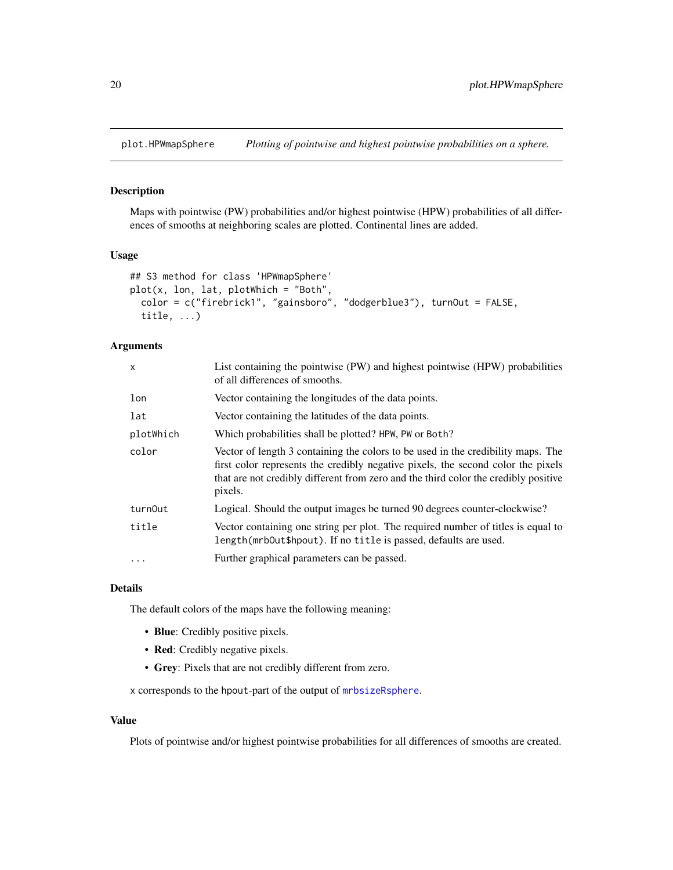<span id="page-19-1"></span><span id="page-19-0"></span>

Maps with pointwise (PW) probabilities and/or highest pointwise (HPW) probabilities of all differences of smooths at neighboring scales are plotted. Continental lines are added.

#### Usage

```
## S3 method for class 'HPWmapSphere'
plot(x, lon, lat, plotWhich = "Both",
  color = c("firebrick1", "gainsboro", "dodgerblue3"), turnOut = FALSE,
  title, ...)
```
#### Arguments

| x         | List containing the pointwise (PW) and highest pointwise (HPW) probabilities<br>of all differences of smooths.                                                                                                                                                         |  |  |
|-----------|------------------------------------------------------------------------------------------------------------------------------------------------------------------------------------------------------------------------------------------------------------------------|--|--|
| lon       | Vector containing the longitudes of the data points.                                                                                                                                                                                                                   |  |  |
| lat       | Vector containing the latitudes of the data points.                                                                                                                                                                                                                    |  |  |
| plotWhich | Which probabilities shall be plotted? HPW, PW or Both?                                                                                                                                                                                                                 |  |  |
| color     | Vector of length 3 containing the colors to be used in the credibility maps. The<br>first color represents the credibly negative pixels, the second color the pixels<br>that are not credibly different from zero and the third color the credibly positive<br>pixels. |  |  |
| turn0ut   | Logical. Should the output images be turned 90 degrees counter-clockwise?                                                                                                                                                                                              |  |  |
| title     | Vector containing one string per plot. The required number of titles is equal to<br>length(mrb0ut\$hpout). If no title is passed, defaults are used.                                                                                                                   |  |  |
| $\cdot$   | Further graphical parameters can be passed.                                                                                                                                                                                                                            |  |  |

#### Details

The default colors of the maps have the following meaning:

- Blue: Credibly positive pixels.
- Red: Credibly negative pixels.
- Grey: Pixels that are not credibly different from zero.

x corresponds to the hpout-part of the output of [mrbsizeRsphere](#page-13-1).

#### Value

Plots of pointwise and/or highest pointwise probabilities for all differences of smooths are created.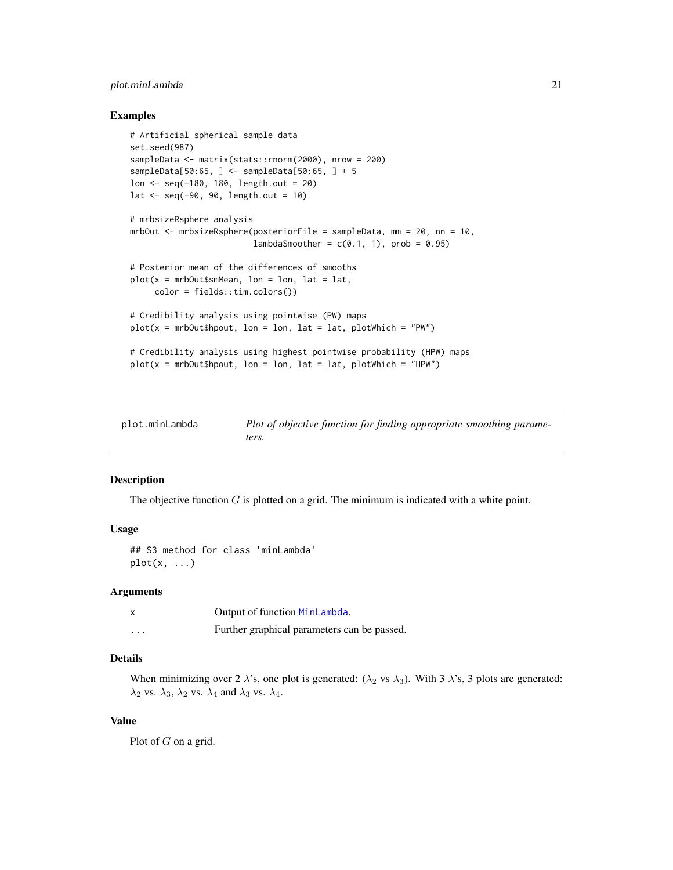#### <span id="page-20-0"></span>plot.minLambda 21

#### Examples

```
# Artificial spherical sample data
set.seed(987)
sampleData <- matrix(stats::rnorm(2000), nrow = 200)
sampleData[50:65, ] <- sampleData[50:65, ] + 5
lon <- seq(-180, 180, length.out = 20)
lat < -seq(-90, 90, length.out = 10)# mrbsizeRsphere analysis
mrbOut <- mrbsizeRsphere(posteriorFile = sampleData, mm = 20, nn = 10,
                        lambdaSmoother = c(0.1, 1), prob = 0.95)
# Posterior mean of the differences of smooths
plot(x = mrbOut$smMean, lon = lon, lat = lat,color = fields::tim.colors())
# Credibility analysis using pointwise (PW) maps
plot(x = mrDout$hpout, lon = lon, lat = lat, plotWhich = "PW")# Credibility analysis using highest pointwise probability (HPW) maps
plot(x = mrDout$hput, lon = lon, lat = lat, plotWhich = "HPW")
```
<span id="page-20-1"></span>

| plot.minLambda | Plot of objective function for finding appropriate smoothing parame- |
|----------------|----------------------------------------------------------------------|
|                | ters.                                                                |

#### Description

The objective function  $G$  is plotted on a grid. The minimum is indicated with a white point.

#### Usage

```
## S3 method for class 'minLambda'
plot(x, \ldots)
```
#### Arguments

|          | Output of function MinLambda.               |  |
|----------|---------------------------------------------|--|
| $\cdots$ | Further graphical parameters can be passed. |  |

#### Details

When minimizing over 2  $\lambda$ 's, one plot is generated: ( $\lambda_2$  vs  $\lambda_3$ ). With 3  $\lambda$ 's, 3 plots are generated:  $\lambda_2$  vs.  $\lambda_3$ ,  $\lambda_2$  vs.  $\lambda_4$  and  $\lambda_3$  vs.  $\lambda_4$ .

#### Value

Plot of  $G$  on a grid.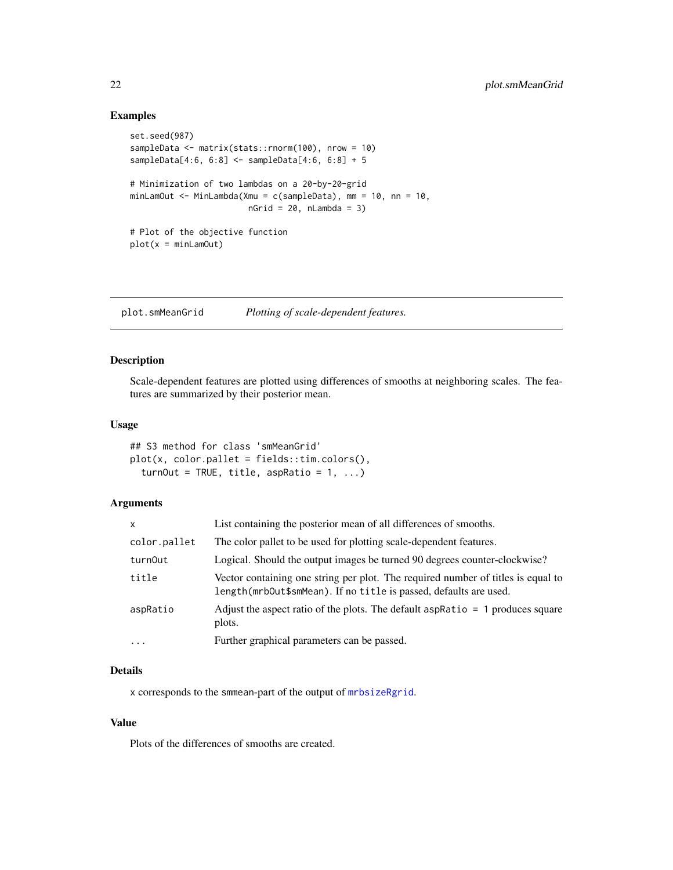#### <span id="page-21-0"></span>Examples

```
set.seed(987)
sampleData <- matrix(stats::rnorm(100), nrow = 10)
sampleData[4:6, 6:8] <- sampleData[4:6, 6:8] + 5
# Minimization of two lambdas on a 20-by-20-grid
minLamOut <- MinLambda(Xmu = c(sampleData), mm = 10, nn = 10,
                       nGrid = 20, nLambda = 3)# Plot of the objective function
plot(x = minLamOut)
```
<span id="page-21-1"></span>plot.smMeanGrid *Plotting of scale-dependent features.*

#### Description

Scale-dependent features are plotted using differences of smooths at neighboring scales. The features are summarized by their posterior mean.

#### Usage

```
## S3 method for class 'smMeanGrid'
plot(x, color.pallet = fields::tim.colors(),
  turnOut = TRUE, title, aspRatio = 1, ...)
```
#### Arguments

| x            | List containing the posterior mean of all differences of smooths.                                                                                     |  |  |
|--------------|-------------------------------------------------------------------------------------------------------------------------------------------------------|--|--|
| color.pallet | The color pallet to be used for plotting scale-dependent features.                                                                                    |  |  |
| turnOut      | Logical. Should the output images be turned 90 degrees counter-clockwise?                                                                             |  |  |
| title        | Vector containing one string per plot. The required number of titles is equal to<br>length(mrbOut\$smMean). If no title is passed, defaults are used. |  |  |
| aspRatio     | Adjust the aspect ratio of the plots. The default aspRatio $= 1$ produces square<br>plots.                                                            |  |  |
| $\cdots$     | Further graphical parameters can be passed.                                                                                                           |  |  |

#### Details

x corresponds to the smmean-part of the output of [mrbsizeRgrid](#page-12-1).

#### Value

Plots of the differences of smooths are created.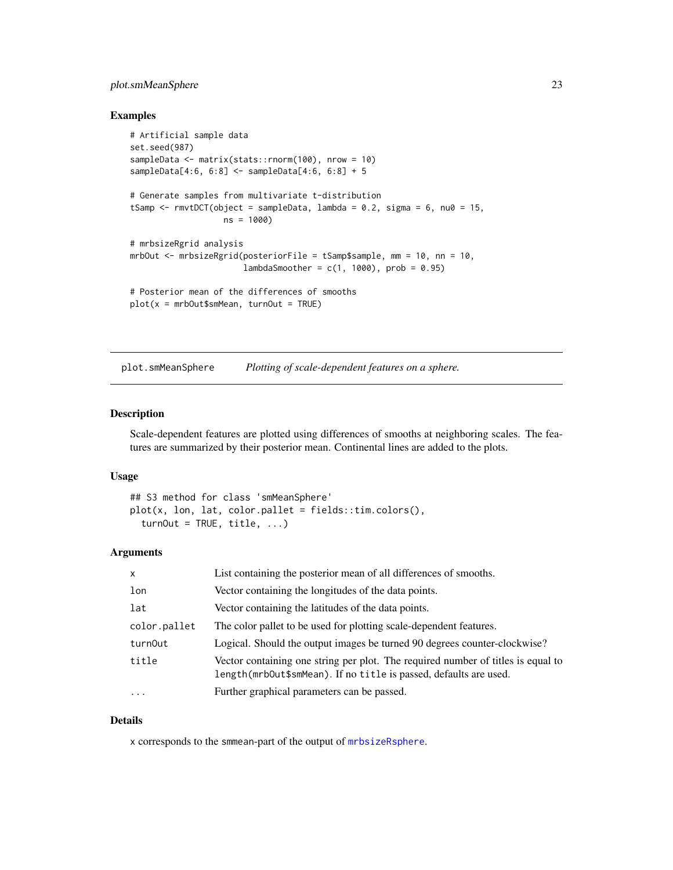#### <span id="page-22-0"></span>plot.smMeanSphere 23

#### Examples

```
# Artificial sample data
set.seed(987)
sampleData <- matrix(stats::rnorm(100), nrow = 10)
sampleData[4:6, 6:8] <- sampleData[4:6, 6:8] + 5
# Generate samples from multivariate t-distribution
tSamp \le rmvtDCT(object = sampleData, lambda = 0.2, sigma = 6, nu0 = 15,
                  ns = 1000)
# mrbsizeRgrid analysis
mrbOut <- mrbsizeRgrid(posteriorFile = tSamp$sample, mm = 10, nn = 10,
                       lambdaSmoother = c(1, 1000), prob = 0.95)
# Posterior mean of the differences of smooths
plot(x = mrbOut$smMean, turnOut = TRUE)
```
<span id="page-22-1"></span>plot.smMeanSphere *Plotting of scale-dependent features on a sphere.*

#### Description

Scale-dependent features are plotted using differences of smooths at neighboring scales. The features are summarized by their posterior mean. Continental lines are added to the plots.

#### Usage

```
## S3 method for class 'smMeanSphere'
plot(x, lon, lat, color.pallet = fields::tim.colors(),
  turnOut = TRUE, title, ...)
```
#### Arguments

| $\mathsf{x}$ | List containing the posterior mean of all differences of smooths.                                                                                     |  |  |
|--------------|-------------------------------------------------------------------------------------------------------------------------------------------------------|--|--|
| lon          | Vector containing the longitudes of the data points.                                                                                                  |  |  |
| lat          | Vector containing the latitudes of the data points.                                                                                                   |  |  |
| color.pallet | The color pallet to be used for plotting scale-dependent features.                                                                                    |  |  |
| turn0ut      | Logical. Should the output images be turned 90 degrees counter-clockwise?                                                                             |  |  |
| title        | Vector containing one string per plot. The required number of titles is equal to<br>length(mrbOut\$smMean). If no title is passed, defaults are used. |  |  |
| $\ddotsc$    | Further graphical parameters can be passed.                                                                                                           |  |  |

#### Details

x corresponds to the smmean-part of the output of [mrbsizeRsphere](#page-13-1).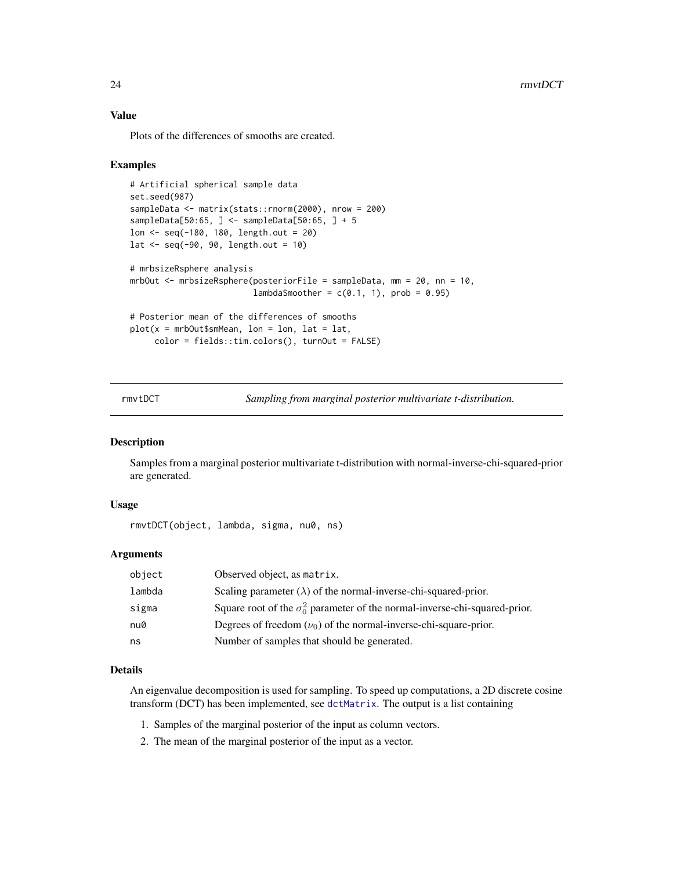#### Value

Plots of the differences of smooths are created.

#### Examples

```
# Artificial spherical sample data
set.seed(987)
sampleData <- matrix(stats::rnorm(2000), nrow = 200)
sampleData[50:65, ] <- sampleData[50:65, ] + 5
lon <- seq(-180, 180, length.out = 20)
lat < -seq(-90, 90, length.out = 10)# mrbsizeRsphere analysis
mrbOut <- mrbsizeRsphere(posteriorFile = sampleData, mm = 20, nn = 10,
                         lambdaSmoother = c(0.1, 1), prob = 0.95# Posterior mean of the differences of smooths
plot(x = mrDOut$smMean, lon = Ion, lat = lat,color = fields::tim.colors(), turnOut = FALSE)
```
<span id="page-23-1"></span>rmvtDCT *Sampling from marginal posterior multivariate t-distribution.*

#### Description

Samples from a marginal posterior multivariate t-distribution with normal-inverse-chi-squared-prior are generated.

#### Usage

rmvtDCT(object, lambda, sigma, nu0, ns)

#### Arguments

| object | Observed object, as matrix.                                                        |
|--------|------------------------------------------------------------------------------------|
| lambda | Scaling parameter $(\lambda)$ of the normal-inverse-chi-squared-prior.             |
| sigma  | Square root of the $\sigma_0^2$ parameter of the normal-inverse-chi-squared-prior. |
| nu0    | Degrees of freedom $(\nu_0)$ of the normal-inverse-chi-square-prior.               |
| ns     | Number of samples that should be generated.                                        |

#### Details

An eigenvalue decomposition is used for sampling. To speed up computations, a 2D discrete cosine transform (DCT) has been implemented, see [dctMatrix](#page-3-1). The output is a list containing

- 1. Samples of the marginal posterior of the input as column vectors.
- 2. The mean of the marginal posterior of the input as a vector.

<span id="page-23-0"></span>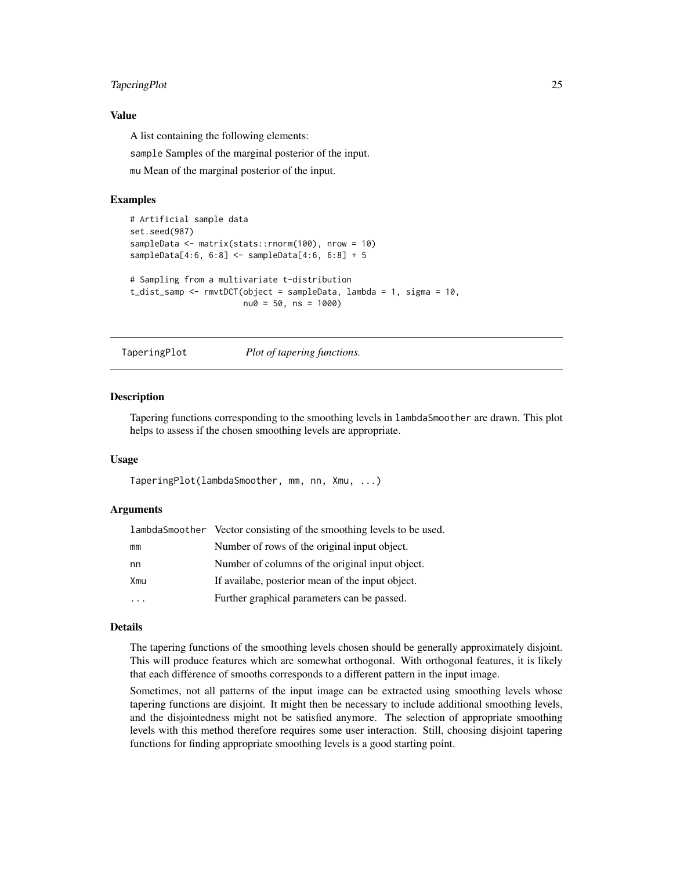#### <span id="page-24-0"></span>TaperingPlot 25

#### Value

A list containing the following elements:

sample Samples of the marginal posterior of the input.

mu Mean of the marginal posterior of the input.

#### Examples

```
# Artificial sample data
set.seed(987)
sampleData <- matrix(stats::rnorm(100), nrow = 10)
sampleData[4:6, 6:8] <- sampleData[4:6, 6:8] + 5
# Sampling from a multivariate t-distribution
t_dist_samp <- rmvtDCT(object = sampleData, lambda = 1, sigma = 10,
                       nu0 = 50, ns = 1000
```
<span id="page-24-1"></span>TaperingPlot *Plot of tapering functions.*

#### Description

Tapering functions corresponding to the smoothing levels in lambdaSmoother are drawn. This plot helps to assess if the chosen smoothing levels are appropriate.

#### Usage

TaperingPlot(lambdaSmoother, mm, nn, Xmu, ...)

#### Arguments

| lambda Smoother Vector consisting of the smoothing levels to be used. |                                                  |
|-----------------------------------------------------------------------|--------------------------------------------------|
| mm                                                                    | Number of rows of the original input object.     |
| nn                                                                    | Number of columns of the original input object.  |
| Xmu                                                                   | If availabe, posterior mean of the input object. |
|                                                                       | Further graphical parameters can be passed.      |

#### Details

The tapering functions of the smoothing levels chosen should be generally approximately disjoint. This will produce features which are somewhat orthogonal. With orthogonal features, it is likely that each difference of smooths corresponds to a different pattern in the input image.

Sometimes, not all patterns of the input image can be extracted using smoothing levels whose tapering functions are disjoint. It might then be necessary to include additional smoothing levels, and the disjointedness might not be satisfied anymore. The selection of appropriate smoothing levels with this method therefore requires some user interaction. Still, choosing disjoint tapering functions for finding appropriate smoothing levels is a good starting point.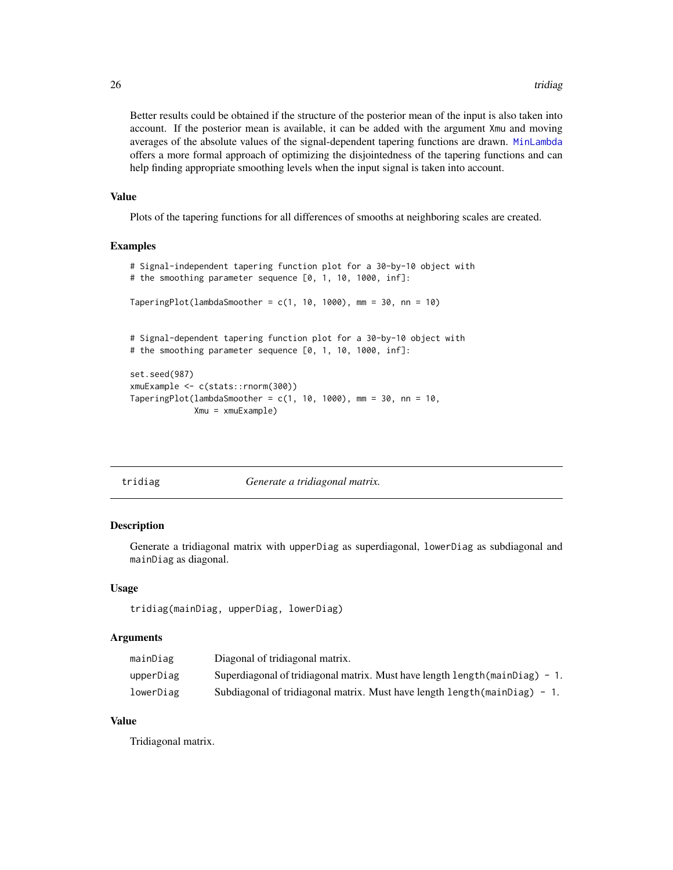Better results could be obtained if the structure of the posterior mean of the input is also taken into account. If the posterior mean is available, it can be added with the argument Xmu and moving averages of the absolute values of the signal-dependent tapering functions are drawn. [MinLambda](#page-9-1) offers a more formal approach of optimizing the disjointedness of the tapering functions and can help finding appropriate smoothing levels when the input signal is taken into account.

#### Value

Plots of the tapering functions for all differences of smooths at neighboring scales are created.

#### Examples

```
# Signal-independent tapering function plot for a 30-by-10 object with
# the smoothing parameter sequence [0, 1, 10, 1000, inf]:
TaperingPlot(lambdaSmoother = c(1, 10, 1000), mm = 30, nn = 10)
# Signal-dependent tapering function plot for a 30-by-10 object with
# the smoothing parameter sequence [0, 1, 10, 1000, inf]:
set.seed(987)
xmuExample <- c(stats::rnorm(300))
TaperingPlot(lambdaSmoother = c(1, 10, 1000), mm = 30, nn = 10,
            Xmu = xmuExample)
```

|  | ldlag |
|--|-------|
|  |       |

#### Generate a tridiagonal matrix.

#### Description

Generate a tridiagonal matrix with upperDiag as superdiagonal, lowerDiag as subdiagonal and mainDiag as diagonal.

#### Usage

```
tridiag(mainDiag, upperDiag, lowerDiag)
```
#### Arguments

| mainDiag  | Diagonal of tridiagonal matrix.                                                     |
|-----------|-------------------------------------------------------------------------------------|
| upperDiag | Superdiagonal of tridiagonal matrix. Must have length length (mainDiag) $-1$ .      |
| lowerDiag | Subdiagonal of tridiagonal matrix. Must have length $l$ ength $(\text{mainDiag})$ - |

#### Value

Tridiagonal matrix.

<span id="page-25-0"></span>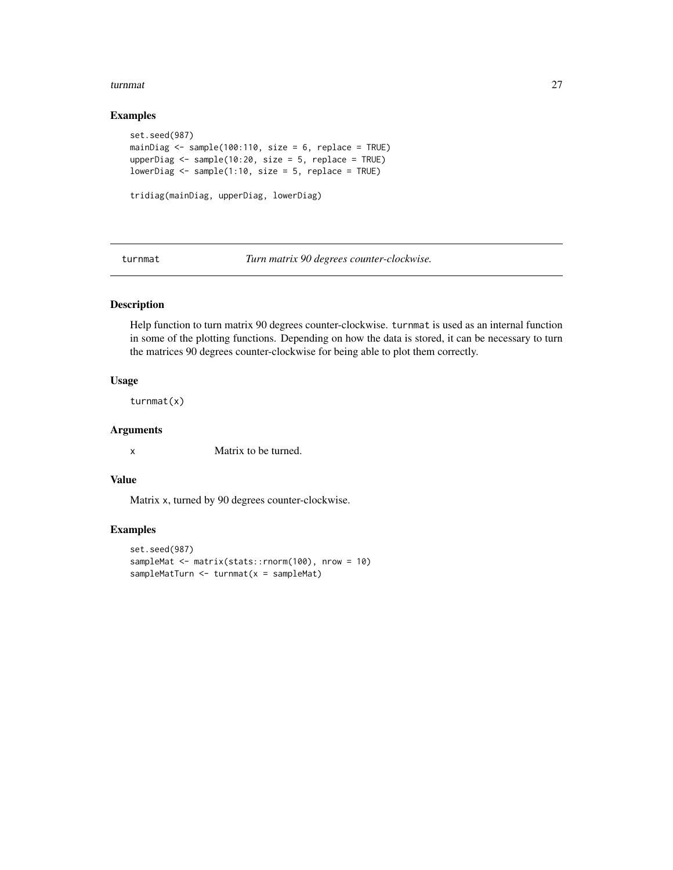#### <span id="page-26-0"></span>turnmat 27

#### Examples

```
set.seed(987)
mainDiag <- sample(100:110, size = 6, replace = TRUE)
upperDiag <- sample(10:20, size = 5, replace = TRUE)
lowerDiag \leq sample(1:10, size = 5, replace = TRUE)
tridiag(mainDiag, upperDiag, lowerDiag)
```
turnmat *Turn matrix 90 degrees counter-clockwise.*

#### Description

Help function to turn matrix 90 degrees counter-clockwise. turnmat is used as an internal function in some of the plotting functions. Depending on how the data is stored, it can be necessary to turn the matrices 90 degrees counter-clockwise for being able to plot them correctly.

#### Usage

turnmat(x)

#### Arguments

x Matrix to be turned.

#### Value

Matrix x, turned by 90 degrees counter-clockwise.

```
set.seed(987)
sampleMat <- matrix(stats::rnorm(100), nrow = 10)
sampleMatTurn <- turnmat(x = sampleMat)
```